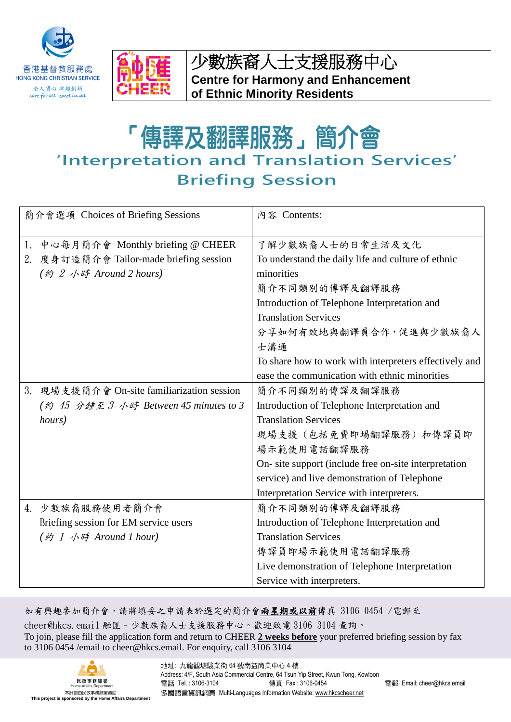



少數族裔人士支援服務中心 **Centre for Harmony and Enhancement of Ethnic Minority Residents**

「傳譯及翻譯服務」簡介會 'Interpretation and Translation Services' **Briefing Session** 

| 簡介會選項 Choices of Briefing Sessions |                                         | 內容 Contents:                                           |
|------------------------------------|-----------------------------------------|--------------------------------------------------------|
| 1.                                 | 中心每月簡介會 Monthly briefing @ CHEER        | 了解少數族裔人士的日常生活及文化                                       |
|                                    | 2. 度身訂造簡介會 Tailor-made briefing session | To understand the daily life and culture of ethnic     |
|                                    | (約 2 小時 Around 2 hours)                 | minorities                                             |
|                                    |                                         | 簡介不同類別的傳譯及翻譯服務                                         |
|                                    |                                         | Introduction of Telephone Interpretation and           |
|                                    |                                         | <b>Translation Services</b>                            |
|                                    |                                         | 分享如何有效地與翻譯員合作,促進與少數族裔人                                 |
|                                    |                                         | 士溝通                                                    |
|                                    |                                         | To share how to work with interpreters effectively and |
|                                    |                                         | ease the communication with ethnic minorities          |
| 3.                                 | 現場支援簡介會 On-site familiarization session | 簡介不同類別的傳譯及翻譯服務                                         |
|                                    | (約 45 分鍾至 3 小時 Between 45 minutes to 3  | Introduction of Telephone Interpretation and           |
|                                    | hours)                                  | <b>Translation Services</b>                            |
|                                    |                                         | 現場支援 (包括免費即場翻譯服務) 和傳譯員即                                |
|                                    |                                         | 場示範使用電話翻譯服務                                            |
|                                    |                                         | On- site support (include free on-site interpretation  |
|                                    |                                         | service) and live demonstration of Telephone           |
|                                    |                                         | Interpretation Service with interpreters.              |
| 4.                                 | 少數族裔服務使用者簡介會                            | 簡介不同類別的傳譯及翻譯服務                                         |
|                                    | Briefing session for EM service users   | Introduction of Telephone Interpretation and           |
|                                    | (約 1 小時 Around 1 hour)                  | <b>Translation Services</b>                            |
|                                    |                                         | 傳譯員即場示範使用電話翻譯服務                                        |
|                                    |                                         | Live demonstration of Telephone Interpretation         |
|                                    |                                         | Service with interpreters.                             |

如有興趣參加簡介會,請將填妥之申請表於選定的簡介會兩星期或以前傳真 3106 0454 /電郵至 cheer@hkcs.email 融匯–少數族裔人士支援服務中心。歡迎致電 3106 3104 查詢。 To join, please fill the application form and return to CHEER **2 weeks before** your preferred briefing session by fax to 3106 0454 /email to cheer@hkcs.email. For enquiry, call 3106 3104